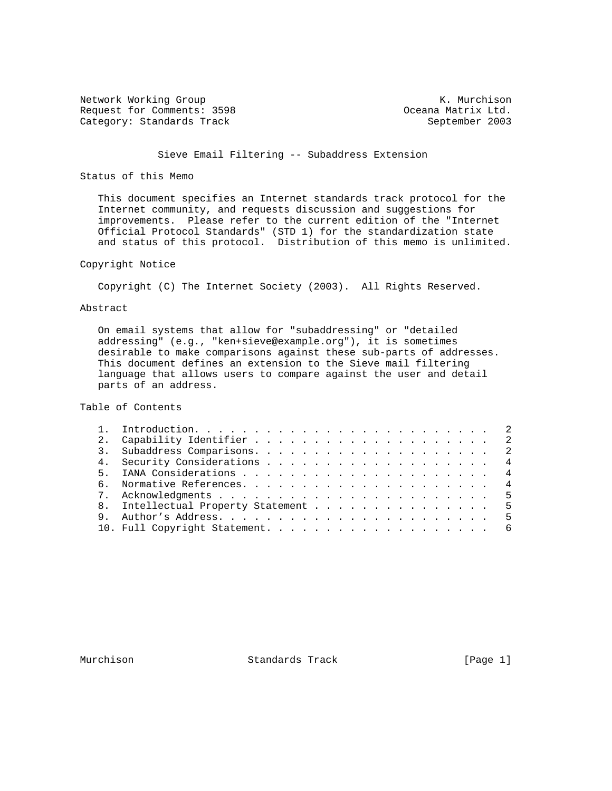Network Working Group Network Working Group Network K. Murchison Request for Comments: 3598 Oceana Matrix Ltd. Category: Standards Track September 2003

# Sieve Email Filtering -- Subaddress Extension

## Status of this Memo

 This document specifies an Internet standards track protocol for the Internet community, and requests discussion and suggestions for improvements. Please refer to the current edition of the "Internet Official Protocol Standards" (STD 1) for the standardization state and status of this protocol. Distribution of this memo is unlimited.

# Copyright Notice

Copyright (C) The Internet Society (2003). All Rights Reserved.

## Abstract

 On email systems that allow for "subaddressing" or "detailed addressing" (e.g., "ken+sieve@example.org"), it is sometimes desirable to make comparisons against these sub-parts of addresses. This document defines an extension to the Sieve mail filtering language that allows users to compare against the user and detail parts of an address.

# Table of Contents

| $5 -$ |                                      |  |
|-------|--------------------------------------|--|
|       |                                      |  |
|       |                                      |  |
|       | 8. Intellectual Property Statement 5 |  |
| 9     |                                      |  |
|       |                                      |  |

Murchison **Standards Track** [Page 1]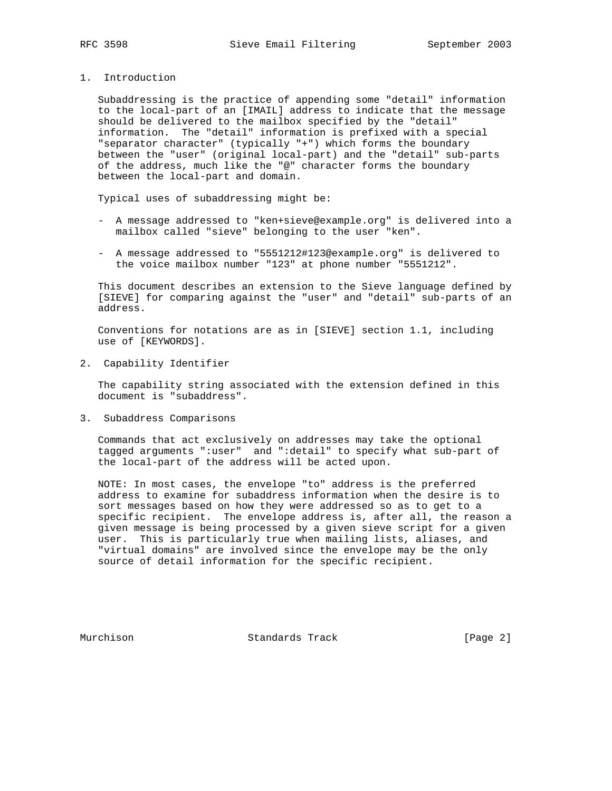1. Introduction

 Subaddressing is the practice of appending some "detail" information to the local-part of an [IMAIL] address to indicate that the message should be delivered to the mailbox specified by the "detail" information. The "detail" information is prefixed with a special "separator character" (typically "+") which forms the boundary between the "user" (original local-part) and the "detail" sub-parts of the address, much like the "@" character forms the boundary between the local-part and domain.

Typical uses of subaddressing might be:

- A message addressed to "ken+sieve@example.org" is delivered into a mailbox called "sieve" belonging to the user "ken".
- A message addressed to "5551212#123@example.org" is delivered to the voice mailbox number "123" at phone number "5551212".

 This document describes an extension to the Sieve language defined by [SIEVE] for comparing against the "user" and "detail" sub-parts of an address.

 Conventions for notations are as in [SIEVE] section 1.1, including use of [KEYWORDS].

2. Capability Identifier

 The capability string associated with the extension defined in this document is "subaddress".

3. Subaddress Comparisons

 Commands that act exclusively on addresses may take the optional tagged arguments ":user" and ":detail" to specify what sub-part of the local-part of the address will be acted upon.

 NOTE: In most cases, the envelope "to" address is the preferred address to examine for subaddress information when the desire is to sort messages based on how they were addressed so as to get to a specific recipient. The envelope address is, after all, the reason a given message is being processed by a given sieve script for a given user. This is particularly true when mailing lists, aliases, and "virtual domains" are involved since the envelope may be the only source of detail information for the specific recipient.

Murchison **Standards Track** [Page 2]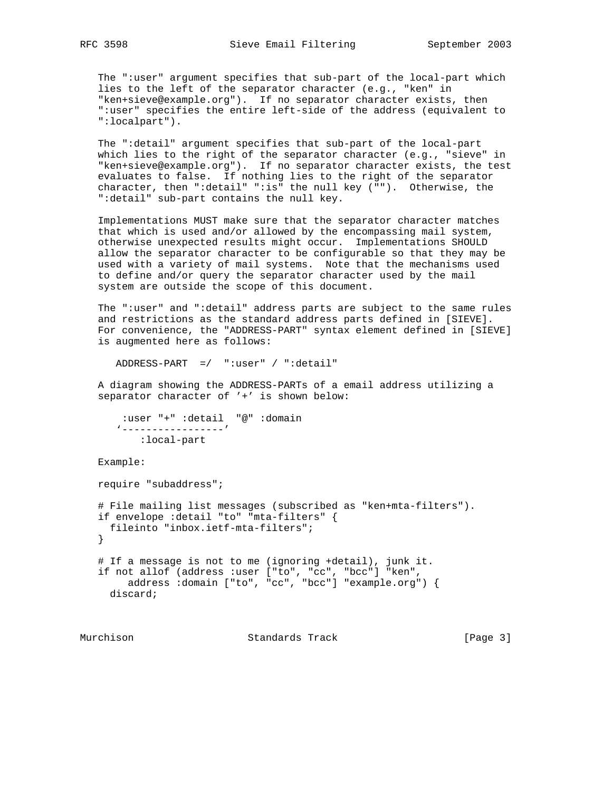The ":user" argument specifies that sub-part of the local-part which lies to the left of the separator character (e.g., "ken" in "ken+sieve@example.org"). If no separator character exists, then ":user" specifies the entire left-side of the address (equivalent to ":localpart").

 The ":detail" argument specifies that sub-part of the local-part which lies to the right of the separator character (e.g., "sieve" in "ken+sieve@example.org"). If no separator character exists, the test evaluates to false. If nothing lies to the right of the separator character, then ":detail" ":is" the null key (""). Otherwise, the ":detail" sub-part contains the null key.

 Implementations MUST make sure that the separator character matches that which is used and/or allowed by the encompassing mail system, otherwise unexpected results might occur. Implementations SHOULD allow the separator character to be configurable so that they may be used with a variety of mail systems. Note that the mechanisms used to define and/or query the separator character used by the mail system are outside the scope of this document.

 The ":user" and ":detail" address parts are subject to the same rules and restrictions as the standard address parts defined in [SIEVE]. For convenience, the "ADDRESS-PART" syntax element defined in [SIEVE] is augmented here as follows:

ADDRESS-PART =/ ":user" / ":detail"

 A diagram showing the ADDRESS-PARTs of a email address utilizing a separator character of '+' is shown below:

```
 :user "+" :detail "@" :domain
'-----------------'
   :local-part
```
Example:

 require "subaddress"; # File mailing list messages (subscribed as "ken+mta-filters"). if envelope :detail "to" "mta-filters" { fileinto "inbox.ietf-mta-filters"; } # If a message is not to me (ignoring +detail), junk it. if not allof (address :user ["to", "cc", "bcc"] "ken", address :domain ["to", "cc", "bcc"] "example.org") { discard;

Murchison **Standards Track** [Page 3]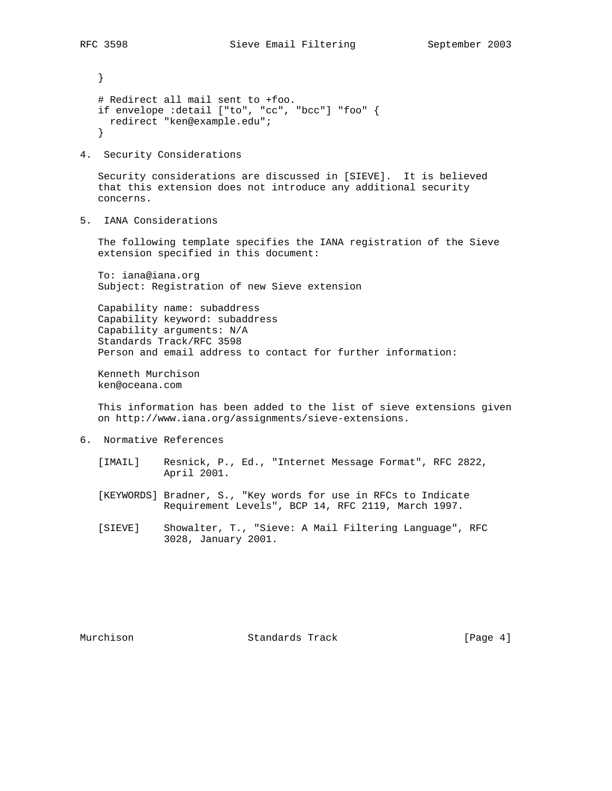```
 }
# Redirect all mail sent to +foo.
if envelope :detail ["to", "cc", "bcc"] "foo" {
 redirect "ken@example.edu";
}
```
4. Security Considerations

 Security considerations are discussed in [SIEVE]. It is believed that this extension does not introduce any additional security concerns.

5. IANA Considerations

 The following template specifies the IANA registration of the Sieve extension specified in this document:

 To: iana@iana.org Subject: Registration of new Sieve extension

 Capability name: subaddress Capability keyword: subaddress Capability arguments: N/A Standards Track/RFC 3598 Person and email address to contact for further information:

 Kenneth Murchison ken@oceana.com

 This information has been added to the list of sieve extensions given on http://www.iana.org/assignments/sieve-extensions.

- 6. Normative References
	- [IMAIL] Resnick, P., Ed., "Internet Message Format", RFC 2822, April 2001.
	- [KEYWORDS] Bradner, S., "Key words for use in RFCs to Indicate Requirement Levels", BCP 14, RFC 2119, March 1997.
	- [SIEVE] Showalter, T., "Sieve: A Mail Filtering Language", RFC 3028, January 2001.

Murchison **Standards Track** [Page 4]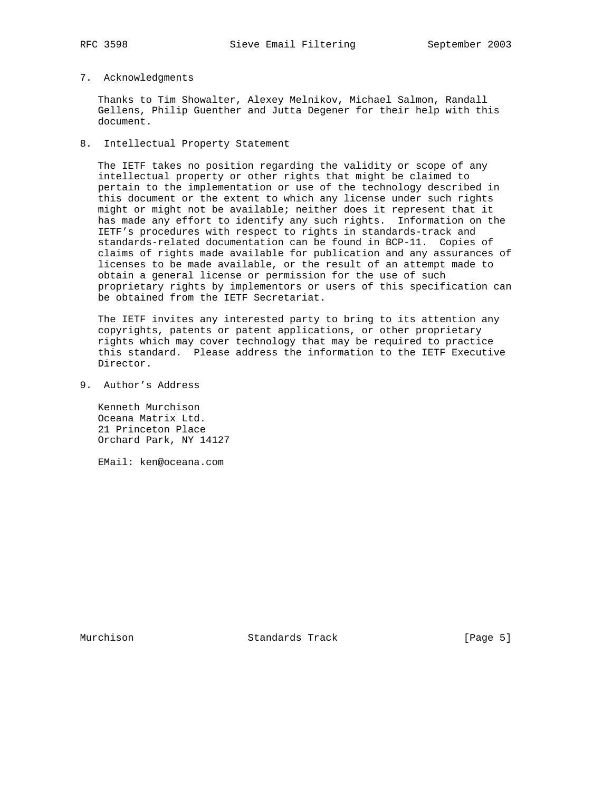### 7. Acknowledgments

 Thanks to Tim Showalter, Alexey Melnikov, Michael Salmon, Randall Gellens, Philip Guenther and Jutta Degener for their help with this document.

8. Intellectual Property Statement

 The IETF takes no position regarding the validity or scope of any intellectual property or other rights that might be claimed to pertain to the implementation or use of the technology described in this document or the extent to which any license under such rights might or might not be available; neither does it represent that it has made any effort to identify any such rights. Information on the IETF's procedures with respect to rights in standards-track and standards-related documentation can be found in BCP-11. Copies of claims of rights made available for publication and any assurances of licenses to be made available, or the result of an attempt made to obtain a general license or permission for the use of such proprietary rights by implementors or users of this specification can be obtained from the IETF Secretariat.

 The IETF invites any interested party to bring to its attention any copyrights, patents or patent applications, or other proprietary rights which may cover technology that may be required to practice this standard. Please address the information to the IETF Executive Director.

9. Author's Address

 Kenneth Murchison Oceana Matrix Ltd. 21 Princeton Place Orchard Park, NY 14127

EMail: ken@oceana.com

Murchison Standards Track [Page 5]